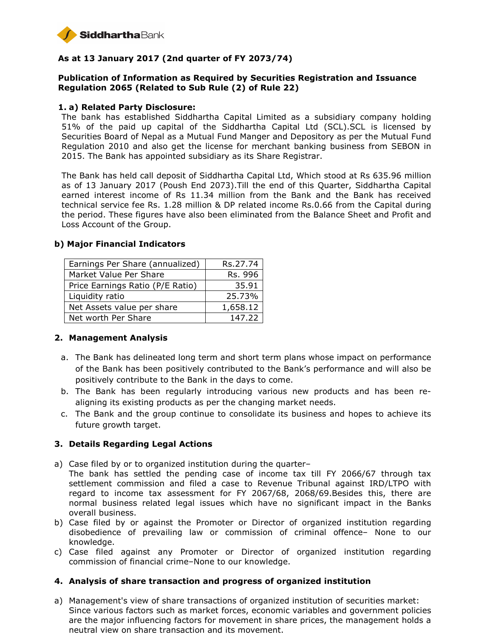

# **As at 13 January 2017 (2nd quarter of FY 2073/74)**

# **Publication of Information as Required by Securities Registration and Issuance Regulation 2065 (Related to Sub Rule (2) of Rule 22)**

#### **1. a) Related Party Disclosure:**

The bank has established Siddhartha Capital Limited as a subsidiary company holding 51% of the paid up capital of the Siddhartha Capital Ltd (SCL).SCL is licensed by Securities Board of Nepal as a Mutual Fund Manger and Depository as per the Mutual Fund Regulation 2010 and also get the license for merchant banking business from SEBON in 2015. The Bank has appointed subsidiary as its Share Registrar.

The Bank has held call deposit of Siddhartha Capital Ltd, Which stood at Rs 635.96 million as of 13 January 2017 (Poush End 2073).Till the end of this Quarter, Siddhartha Capital earned interest income of Rs 11.34 million from the Bank and the Bank has received technical service fee Rs. 1.28 million & DP related income Rs.0.66 from the Capital during the period. These figures have also been eliminated from the Balance Sheet and Profit and Loss Account of the Group.

| Earnings Per Share (annualized)  | Rs.27.74 |
|----------------------------------|----------|
| Market Value Per Share           | Rs. 996  |
| Price Earnings Ratio (P/E Ratio) | 35.91    |
| Liquidity ratio                  | 25.73%   |
| Net Assets value per share       | 1,658.12 |
| Net worth Per Share              | 147.22   |

#### **b) Major Financial Indicators**

### **2. Management Analysis**

- a. The Bank has delineated long term and short term plans whose impact on performance of the Bank has been positively contributed to the Bank's performance and will also be positively contribute to the Bank in the days to come.
- b. The Bank has been regularly introducing various new products and has been realigning its existing products as per the changing market needs.
- c. The Bank and the group continue to consolidate its business and hopes to achieve its future growth target.

### **3. Details Regarding Legal Actions**

- a) Case filed by or to organized institution during the quarter–
- The bank has settled the pending case of income tax till FY 2066/67 through tax settlement commission and filed a case to Revenue Tribunal against IRD/LTPO with regard to income tax assessment for FY 2067/68, 2068/69.Besides this, there are normal business related legal issues which have no significant impact in the Banks overall business.
- b) Case filed by or against the Promoter or Director of organized institution regarding disobedience of prevailing law or commission of criminal offence– None to our knowledge.
- c) Case filed against any Promoter or Director of organized institution regarding commission of financial crime–None to our knowledge.

#### **4. Analysis of share transaction and progress of organized institution**

a) Management's view of share transactions of organized institution of securities market: Since various factors such as market forces, economic variables and government policies are the major influencing factors for movement in share prices, the management holds a neutral view on share transaction and its movement.